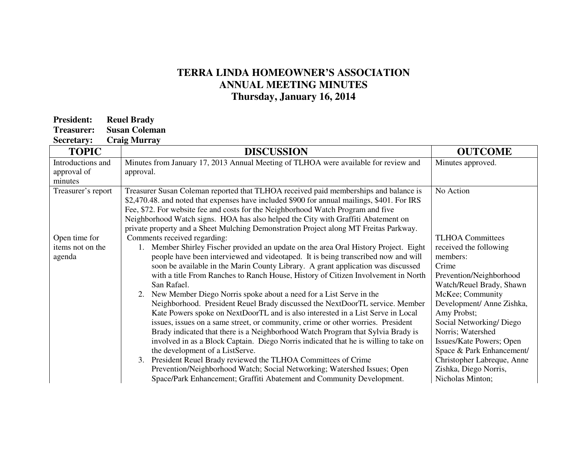## **TERRA LINDA HOMEOWNER'S ASSOCIATION ANNUAL MEETING MINUTES Thursday, January 16, 2014**

| <b>President:</b> | <b>Reuel Brady</b>   |
|-------------------|----------------------|
| Treasurer:        | <b>Susan Coleman</b> |

**Secretary: Craig Murray** 

| <b>TOPIC</b>       | <b>DISCUSSION</b>                                                                           | <b>OUTCOME</b>             |
|--------------------|---------------------------------------------------------------------------------------------|----------------------------|
| Introductions and  | Minutes from January 17, 2013 Annual Meeting of TLHOA were available for review and         | Minutes approved.          |
| approval of        | approval.                                                                                   |                            |
| minutes            |                                                                                             |                            |
| Treasurer's report | Treasurer Susan Coleman reported that TLHOA received paid memberships and balance is        | No Action                  |
|                    | \$2,470.48. and noted that expenses have included \$900 for annual mailings, \$401. For IRS |                            |
|                    | Fee, \$72. For website fee and costs for the Neighborhood Watch Program and five            |                            |
|                    | Neighborhood Watch signs. HOA has also helped the City with Graffiti Abatement on           |                            |
|                    | private property and a Sheet Mulching Demonstration Project along MT Freitas Parkway.       |                            |
| Open time for      | Comments received regarding:                                                                | <b>TLHOA Committees</b>    |
| items not on the   | Member Shirley Fischer provided an update on the area Oral History Project. Eight           | received the following     |
| agenda             | people have been interviewed and videotaped. It is being transcribed now and will           | members:                   |
|                    | soon be available in the Marin County Library. A grant application was discussed            | Crime                      |
|                    | with a title From Ranches to Ranch House, History of Citizen Involvement in North           | Prevention/Neighborhood    |
|                    | San Rafael.                                                                                 | Watch/Reuel Brady, Shawn   |
|                    | New Member Diego Norris spoke about a need for a List Serve in the<br>2.                    | McKee; Community           |
|                    | Neighborhood. President Reuel Brady discussed the NextDoorTL service. Member                | Development/ Anne Zishka,  |
|                    | Kate Powers spoke on NextDoorTL and is also interested in a List Serve in Local             | Amy Probst;                |
|                    | issues, issues on a same street, or community, crime or other worries. President            | Social Networking/Diego    |
|                    | Brady indicated that there is a Neighborhood Watch Program that Sylvia Brady is             | Norris; Watershed          |
|                    | involved in as a Block Captain. Diego Norris indicated that he is willing to take on        | Issues/Kate Powers; Open   |
|                    | the development of a ListServe.                                                             | Space & Park Enhancement/  |
|                    | President Reuel Brady reviewed the TLHOA Committees of Crime<br>3.                          | Christopher Labreque, Anne |
|                    | Prevention/Neighborhood Watch; Social Networking; Watershed Issues; Open                    | Zishka, Diego Norris,      |
|                    | Space/Park Enhancement; Graffiti Abatement and Community Development.                       | Nicholas Minton;           |